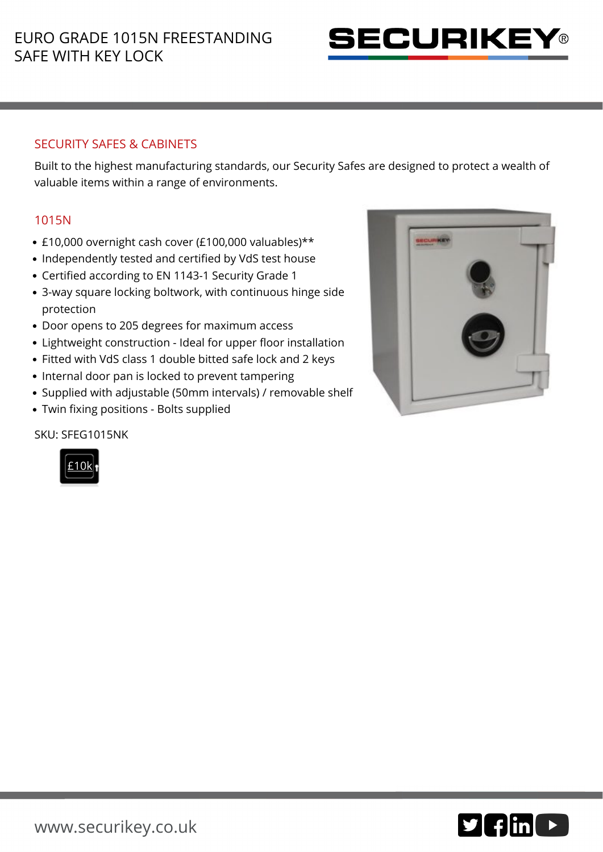

# SECURITY SAFES & CABINETS

Built to the highest manufacturing standards, our Security Safes are designed to protect a wealth of valuable items within a range of environments.

### 1015N

- £10,000 overnight cash cover (£100,000 valuables)\*\*
- Independently tested and certified by VdS test house
- Certified according to EN 1143-1 Security Grade 1
- 3-way square locking boltwork, with continuous hinge side protection
- Door opens to 205 degrees for maximum access
- Lightweight construction Ideal for upper floor installation
- Fitted with VdS class 1 double bitted safe lock and 2 keys
- Internal door pan is locked to prevent tampering
- Supplied with adjustable (50mm intervals) / removable shelf
- Twin fixing positions Bolts supplied



### SKU: SFEG1015NK



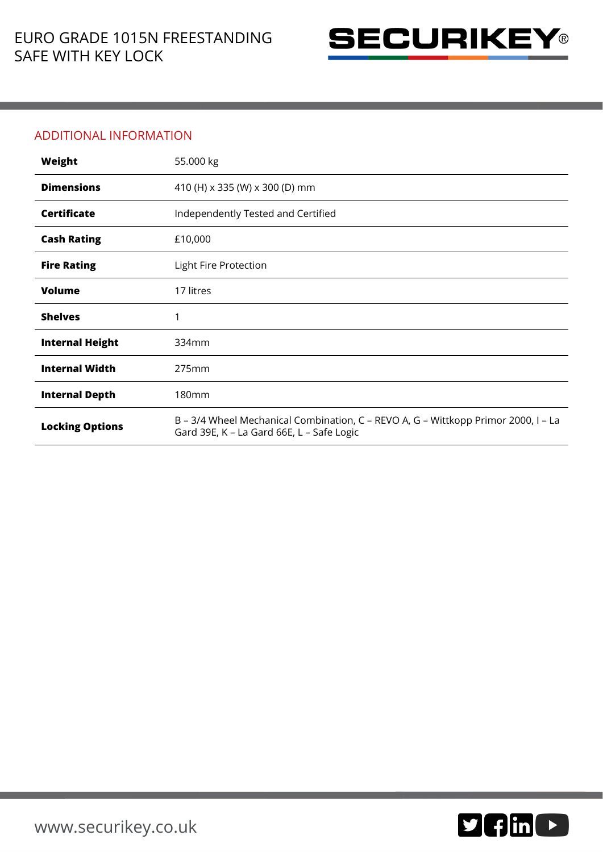

#### ADDITIONAL INFORMATION

| Weight                 | 55.000 kg                                                                                                                       |
|------------------------|---------------------------------------------------------------------------------------------------------------------------------|
| <b>Dimensions</b>      | 410 (H) x 335 (W) x 300 (D) mm                                                                                                  |
| <b>Certificate</b>     | Independently Tested and Certified                                                                                              |
| <b>Cash Rating</b>     | £10,000                                                                                                                         |
| <b>Fire Rating</b>     | Light Fire Protection                                                                                                           |
| <b>Volume</b>          | 17 litres                                                                                                                       |
| <b>Shelves</b>         |                                                                                                                                 |
| <b>Internal Height</b> | 334mm                                                                                                                           |
| <b>Internal Width</b>  | $275$ mm                                                                                                                        |
| <b>Internal Depth</b>  | 180 <sub>mm</sub>                                                                                                               |
| <b>Locking Options</b> | B - 3/4 Wheel Mechanical Combination, C - REVO A, G - Wittkopp Primor 2000, I - La<br>Gard 39E, K - La Gard 66E, L - Safe Logic |

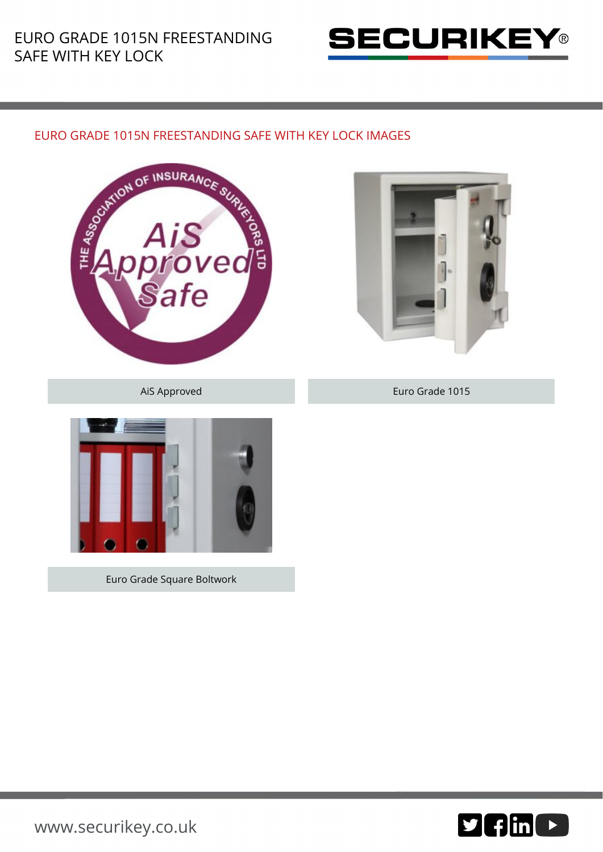

## EURO GRADE 1015N FREESTANDING SAFE WITH KEY LOCK IMAGES





AiS Approved **Euro Grade 1015** 



Euro Grade Square Boltwork



[www.securikey.co.uk](http://www.securikey.co.uk/)